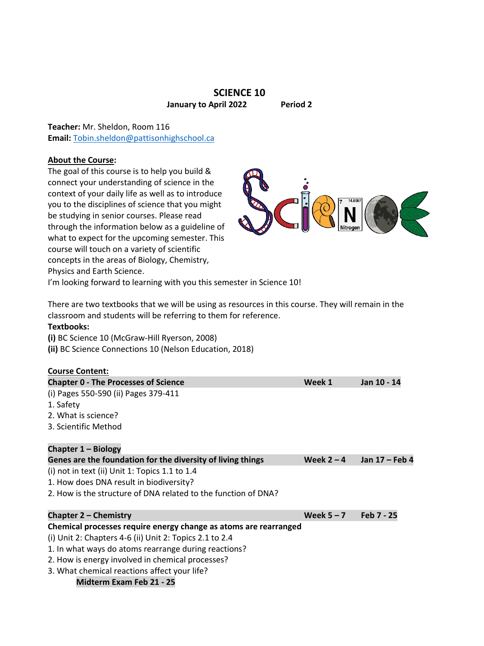# **SCIENCE 10 January to April 2022 Period 2**

**Teacher:** Mr. Sheldon, Room 116 **Email:** [Tobin.sheldon@pattisonhighschool.ca](mailto:Tobin.sheldon@pattisonhighschool.ca)

## **About the Course:**

The goal of this course is to help you build & connect your understanding of science in the context of your daily life as well as to introduce you to the disciplines of science that you might be studying in senior courses. Please read through the information below as a guideline of what to expect for the upcoming semester. This course will touch on a variety of scientific concepts in the areas of Biology, Chemistry, Physics and Earth Science.



I'm looking forward to learning with you this semester in Science 10!

There are two textbooks that we will be using as resources in this course. They will remain in the classroom and students will be referring to them for reference.

# **Textbooks:**

**(i)** BC Science 10 (McGraw-Hill Ryerson, 2008)

**(ii)** BC Science Connections 10 (Nelson Education, 2018)

# **Course Content: Chapter 0 - The Processes of Science Week 1 Jan 10 - 14** (i) Pages 550-590 (ii) Pages 379-411 1. Safety 2. What is science? 3. Scientific Method **Chapter 1 – Biology** Genes are the foundation for the diversity of living things  $\qquad$  **Week 2 – 4** Jan 17 – Feb 4 (i) not in text (ii) Unit 1: Topics 1.1 to 1.4 1. How does DNA result in biodiversity? 2. How is the structure of DNA related to the function of DNA?

**Chapter 2 – Chemistry Week 5 – 7 Feb 7 - 25**

# **Chemical processes require energy change as atoms are rearranged**

(i) Unit 2: Chapters 4-6 (ii) Unit 2: Topics 2.1 to 2.4

- 1. In what ways do atoms rearrange during reactions?
- 2. How is energy involved in chemical processes?
- 3. What chemical reactions affect your life?

**Midterm Exam Feb 21 - 25**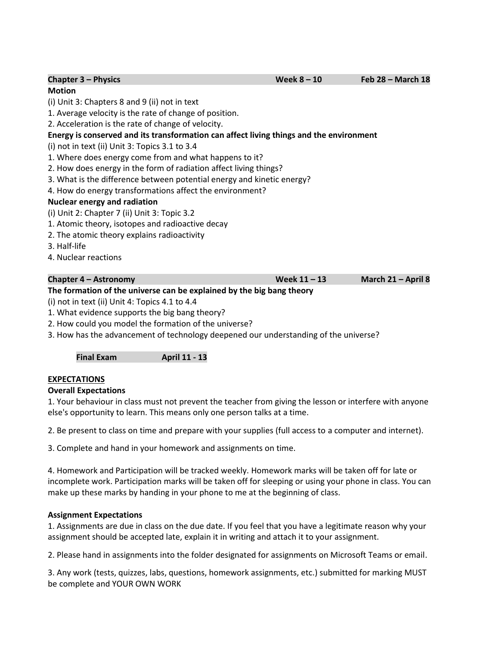| CHUNGU J LIIYJIGJ                                                                       |                |  |  | $1$ CD $20$ Trigital LD |
|-----------------------------------------------------------------------------------------|----------------|--|--|-------------------------|
| <b>Motion</b>                                                                           |                |  |  |                         |
| (i) Unit 3: Chapters 8 and 9 (ii) not in text                                           |                |  |  |                         |
| 1. Average velocity is the rate of change of position.                                  |                |  |  |                         |
| 2. Acceleration is the rate of change of velocity.                                      |                |  |  |                         |
| Energy is conserved and its transformation can affect living things and the environment |                |  |  |                         |
| (i) not in text (ii) Unit 3: Topics 3.1 to 3.4                                          |                |  |  |                         |
| 1. Where does energy come from and what happens to it?                                  |                |  |  |                         |
| 2. How does energy in the form of radiation affect living things?                       |                |  |  |                         |
| 3. What is the difference between potential energy and kinetic energy?                  |                |  |  |                         |
| 4. How do energy transformations affect the environment?                                |                |  |  |                         |
| <b>Nuclear energy and radiation</b>                                                     |                |  |  |                         |
| (i) Unit 2: Chapter 7 (ii) Unit 3: Topic 3.2                                            |                |  |  |                         |
| 1. Atomic theory, isotopes and radioactive decay                                        |                |  |  |                         |
| 2. The atomic theory explains radioactivity                                             |                |  |  |                         |
| 3. Half-life                                                                            |                |  |  |                         |
| 4. Nuclear reactions                                                                    |                |  |  |                         |
|                                                                                         |                |  |  |                         |
| Chapter 4 – Astronomy                                                                   | Week $11 - 13$ |  |  | March 21 - April 8      |
| The formation of the universe can be explained by the big bang theory                   |                |  |  |                         |

**Chapter 3 – Physics Week 8 – 10 Feb 28 – March 18**

- (i) not in text (ii) Unit 4: Topics 4.1 to 4.4
- 1. What evidence supports the big bang theory?
- 2. How could you model the formation of the universe?
- 3. How has the advancement of technology deepened our understanding of the universe?

**Final Exam April 11 - 13**

### **EXPECTATIONS**

### **Overall Expectations**

1. Your behaviour in class must not prevent the teacher from giving the lesson or interfere with anyone else's opportunity to learn. This means only one person talks at a time.

2. Be present to class on time and prepare with your supplies (full access to a computer and internet).

3. Complete and hand in your homework and assignments on time.

4. Homework and Participation will be tracked weekly. Homework marks will be taken off for late or incomplete work. Participation marks will be taken off for sleeping or using your phone in class. You can make up these marks by handing in your phone to me at the beginning of class.

### **Assignment Expectations**

1. Assignments are due in class on the due date. If you feel that you have a legitimate reason why your assignment should be accepted late, explain it in writing and attach it to your assignment.

2. Please hand in assignments into the folder designated for assignments on Microsoft Teams or email.

3. Any work (tests, quizzes, labs, questions, homework assignments, etc.) submitted for marking MUST be complete and YOUR OWN WORK